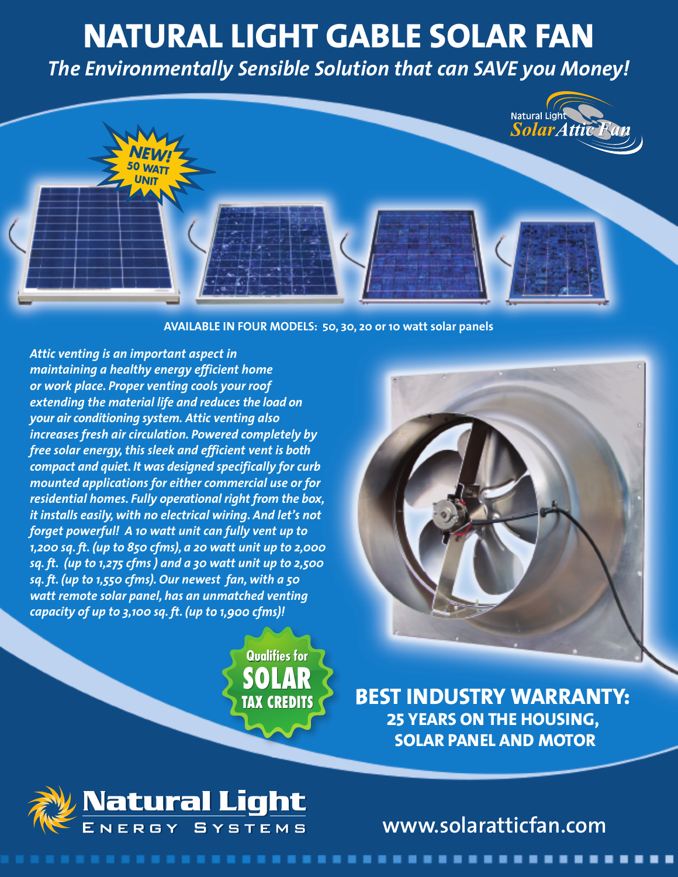## **NATURAL LIGHT GABLE SOLAR FAN**

*The Environmentally Sensible Solution that can SAVE you Money!*



## **AVAILABLE IN FOUR MODELS: 50, 30, 20 or 10 watt solar panels**

*Attic venting is an important aspect in maintaining a healthy energy efficient home or work place. Proper venting cools your roof extending the material life and reduces the load on your air conditioning system. Attic venting also increases fresh air circulation. Powered completely by free solar energy,this sleek and efficient vent is both compact and quiet. It was designed specifically for curb mounted applications for either commercial use or for residential homes. Fully operational right from the box, it installs easily, with no electrical wiring. And let's not forget powerful! A 10 watt unit can fully vent up to 1,200 sq. ft. (up to 850 cfms), a 20 watt unit up to 2,000 sq. ft. (up to 1,275 cfms ) and a 30 watt unit up to 2,500 sq. ft. (up to 1,550 cfms). Our newest fan, with a 50 watt remote solar panel, has an unmatched venting capacity of up to 3,100 sq. ft. (up to 1,900 cfms)!*

> **SOLAR TAX CREDITS Qualifies for**



**BEST INDUSTRY WARRANTY: 25 YEARS ON THE HOUSING, SOLAR PANEL AND MOTOR**



. . . . . . . . . . . . . . . . .

**www.solaratticfan.com**